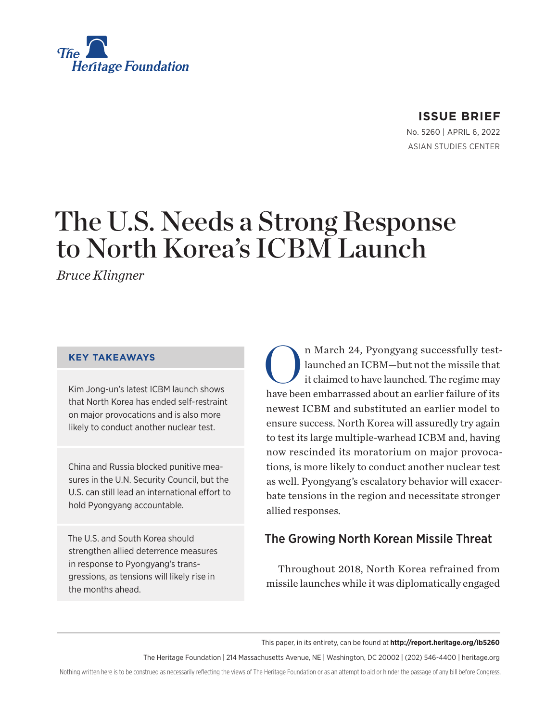

## **ISSUE BRIEF**

No. 5260 | April 6, 2022 ASIAN STUDIES CENTER

# The U.S. Needs a Strong Response to North Korea's ICBM Launch

*Bruce Klingner*

#### **KEY TAKEAWAYS**

Kim Jong-un's latest ICBM launch shows that North Korea has ended self-restraint on major provocations and is also more likely to conduct another nuclear test.

China and Russia blocked punitive measures in the U.N. Security Council, but the U.S. can still lead an international effort to hold Pyongyang accountable.

The U.S. and South Korea should strengthen allied deterrence measures in response to Pyongyang's transgressions, as tensions will likely rise in the months ahead.

n March 24, Pyongyang successfully test-<br>launched an ICBM-but not the missile that<br>it claimed to have launched. The regime may launched an ICBM—but not the missile that it claimed to have launched. The regime may have been embarrassed about an earlier failure of its newest ICBM and substituted an earlier model to ensure success. North Korea will assuredly try again to test its large multiple-warhead ICBM and, having now rescinded its moratorium on major provocations, is more likely to conduct another nuclear test as well. Pyongyang's escalatory behavior will exacerbate tensions in the region and necessitate stronger allied responses.

# The Growing North Korean Missile Threat

Throughout 2018, North Korea refrained from missile launches while it was diplomatically engaged

This paper, in its entirety, can be found at **http://report.heritage.org/ib5260**

The Heritage Foundation | 214 Massachusetts Avenue, NE | Washington, DC 20002 | (202) 546-4400 | [heritage.org](http://www.heritage.org)

Nothing written here is to be construed as necessarily reflecting the views of The Heritage Foundation or as an attempt to aid or hinder the passage of any bill before Congress.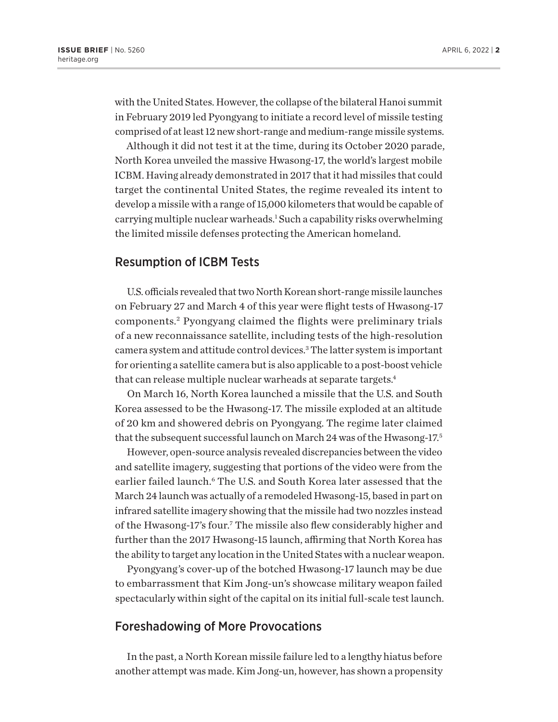<span id="page-1-0"></span>with the United States. However, the collapse of the bilateral Hanoi summit in February 2019 led Pyongyang to initiate a record level of missile testing comprised of at least 12 new short-range and medium-range missile systems.

Although it did not test it at the time, during its October 2020 parade, North Korea unveiled the massive Hwasong-17, the world's largest mobile ICBM. Having already demonstrated in 2017 that it had missiles that could target the continental United States, the regime revealed its intent to develop a missile with a range of 15,000 kilometers that would be capable of carrying multiple nuclear warheads.<sup>[1](#page-6-0)</sup> Such a capability risks overwhelming the limited missile defenses protecting the American homeland.

## Resumption of ICBM Tests

U.S. officials revealed that two North Korean short-range missile launches on February 27 and March 4 of this year were flight tests of Hwasong-17 components.[2](#page-6-0) Pyongyang claimed the flights were preliminary trials of a new reconnaissance satellite, including tests of the high-resolution camera system and attitude control devices.<sup>3</sup> The latter system is important for orienting a satellite camera but is also applicable to a post-boost vehicle that can release multiple nuclear warheads at separate targets.<sup>4</sup>

On March 16, North Korea launched a missile that the U.S. and South Korea assessed to be the Hwasong-17. The missile exploded at an altitude of 20 km and showered debris on Pyongyang. The regime later claimed that the subsequent successful launch on March 24 was of the Hwasong-17.<sup>5</sup>

However, open-source analysis revealed discrepancies between the video and satellite imagery, suggesting that portions of the video were from the earlier failed launch.<sup>6</sup> The U.S. and South Korea later assessed that the March 24 launch was actually of a remodeled Hwasong-15, based in part on infrared satellite imagery showing that the missile had two nozzles instead of the Hwasong-17's four.<sup>7</sup> The missile also flew considerably higher and further than the 2017 Hwasong-15 launch, affirming that North Korea has the ability to target any location in the United States with a nuclear weapon.

Pyongyang's cover-up of the botched Hwasong-17 launch may be due to embarrassment that Kim Jong-un's showcase military weapon failed spectacularly within sight of the capital on its initial full-scale test launch.

## Foreshadowing of More Provocations

In the past, a North Korean missile failure led to a lengthy hiatus before another attempt was made. Kim Jong-un, however, has shown a propensity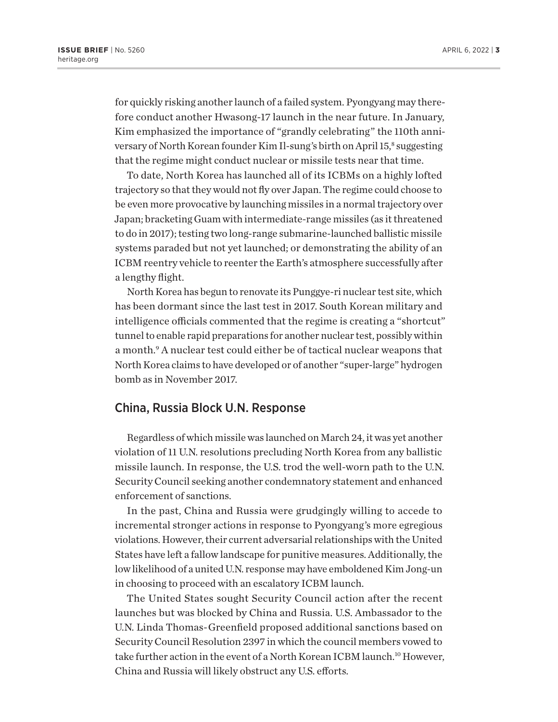<span id="page-2-0"></span>for quickly risking another launch of a failed system. Pyongyang may therefore conduct another Hwasong-17 launch in the near future. In January, Kim emphasized the importance of "grandly celebrating" the 110th anni-versary of North Korean founder Kim Il-sung's birth on April 15,[8](#page-6-0) suggesting that the regime might conduct nuclear or missile tests near that time.

To date, North Korea has launched all of its ICBMs on a highly lofted trajectory so that they would not fly over Japan. The regime could choose to be even more provocative by launching missiles in a normal trajectory over Japan; bracketing Guam with intermediate-range missiles (as it threatened to do in 2017); testing two long-range submarine-launched ballistic missile systems paraded but not yet launched; or demonstrating the ability of an ICBM reentry vehicle to reenter the Earth's atmosphere successfully after a lengthy flight.

North Korea has begun to renovate its Punggye-ri nuclear test site, which has been dormant since the last test in 2017. South Korean military and intelligence officials commented that the regime is creating a "shortcut" tunnel to enable rapid preparations for another nuclear test, possibly within a month.<sup>[9](#page-6-0)</sup> A nuclear test could either be of tactical nuclear weapons that North Korea claims to have developed or of another "super-large" hydrogen bomb as in November 2017.

#### China, Russia Block U.N. Response

Regardless of which missile was launched on March 24, it was yet another violation of 11 U.N. resolutions precluding North Korea from any ballistic missile launch. In response, the U.S. trod the well-worn path to the U.N. Security Council seeking another condemnatory statement and enhanced enforcement of sanctions.

In the past, China and Russia were grudgingly willing to accede to incremental stronger actions in response to Pyongyang's more egregious violations. However, their current adversarial relationships with the United States have left a fallow landscape for punitive measures. Additionally, the low likelihood of a united U.N. response may have emboldened Kim Jong-un in choosing to proceed with an escalatory ICBM launch.

The United States sought Security Council action after the recent launches but was blocked by China and Russia. U.S. Ambassador to the U.N. Linda Thomas-Greenfield proposed additional sanctions based on Security Council Resolution 2397 in which the council members vowed to take further action in the event of a North Korean ICBM launch.<sup>10</sup> However. China and Russia will likely obstruct any U.S. efforts.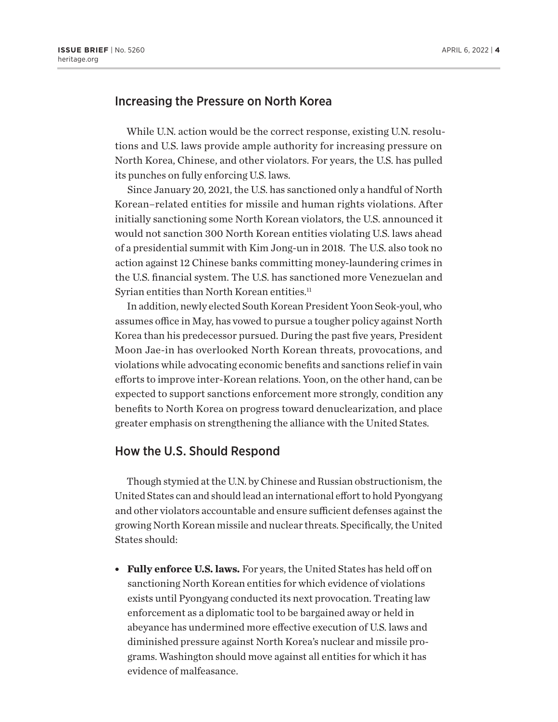## <span id="page-3-0"></span>Increasing the Pressure on North Korea

While U.N. action would be the correct response, existing U.N. resolutions and U.S. laws provide ample authority for increasing pressure on North Korea, Chinese, and other violators. For years, the U.S. has pulled its punches on fully enforcing U.S. laws.

Since January 20, 2021, the U.S. has sanctioned only a handful of North Korean–related entities for missile and human rights violations. After initially sanctioning some North Korean violators, the U.S. announced it would not sanction 300 North Korean entities violating U.S. laws ahead of a presidential summit with Kim Jong-un in 2018. The U.S. also took no action against 12 Chinese banks committing money-laundering crimes in the U.S. financial system. The U.S. has sanctioned more Venezuelan and Syrian entities than North Korean entities.<sup>[11](#page-6-0)</sup>

In addition, newly elected South Korean President Yoon Seok-youl, who assumes office in May, has vowed to pursue a tougher policy against North Korea than his predecessor pursued. During the past five years, President Moon Jae-in has overlooked North Korean threats, provocations, and violations while advocating economic benefits and sanctions relief in vain efforts to improve inter-Korean relations. Yoon, on the other hand, can be expected to support sanctions enforcement more strongly, condition any benefits to North Korea on progress toward denuclearization, and place greater emphasis on strengthening the alliance with the United States.

#### How the U.S. Should Respond

Though stymied at the U.N. by Chinese and Russian obstructionism, the United States can and should lead an international effort to hold Pyongyang and other violators accountable and ensure sufficient defenses against the growing North Korean missile and nuclear threats. Specifically, the United States should:

**Fully enforce U.S. laws.** For years, the United States has held off on sanctioning North Korean entities for which evidence of violations exists until Pyongyang conducted its next provocation. Treating law enforcement as a diplomatic tool to be bargained away or held in abeyance has undermined more effective execution of U.S. laws and diminished pressure against North Korea's nuclear and missile programs. Washington should move against all entities for which it has evidence of malfeasance.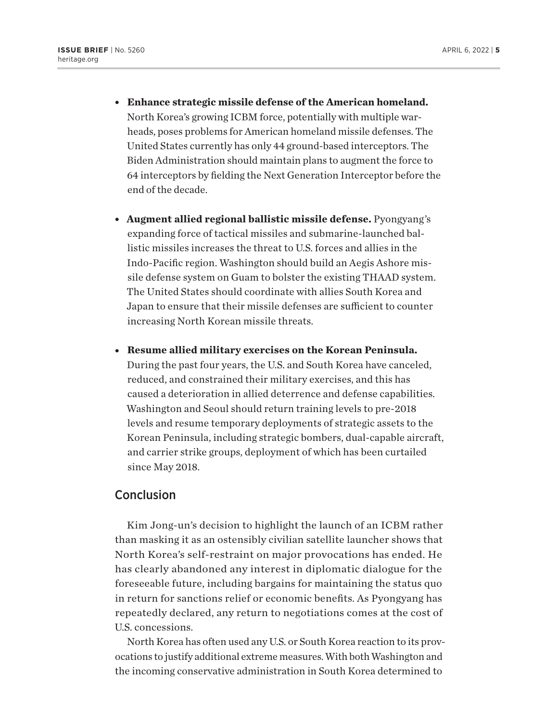- <sup>l</sup> **Enhance strategic missile defense of the American homeland.** North Korea's growing ICBM force, potentially with multiple warheads, poses problems for American homeland missile defenses. The United States currently has only 44 ground-based interceptors. The Biden Administration should maintain plans to augment the force to 64 interceptors by fielding the Next Generation Interceptor before the end of the decade.
- **Augment allied regional ballistic missile defense.** Pyongyang's expanding force of tactical missiles and submarine-launched ballistic missiles increases the threat to U.S. forces and allies in the Indo-Pacific region. Washington should build an Aegis Ashore missile defense system on Guam to bolster the existing THAAD system. The United States should coordinate with allies South Korea and Japan to ensure that their missile defenses are sufficient to counter increasing North Korean missile threats.
- **Resume allied military exercises on the Korean Peninsula.**

During the past four years, the U.S. and South Korea have canceled, reduced, and constrained their military exercises, and this has caused a deterioration in allied deterrence and defense capabilities. Washington and Seoul should return training levels to pre-2018 levels and resume temporary deployments of strategic assets to the Korean Peninsula, including strategic bombers, dual-capable aircraft, and carrier strike groups, deployment of which has been curtailed since May 2018.

## **Conclusion**

Kim Jong-un's decision to highlight the launch of an ICBM rather than masking it as an ostensibly civilian satellite launcher shows that North Korea's self-restraint on major provocations has ended. He has clearly abandoned any interest in diplomatic dialogue for the foreseeable future, including bargains for maintaining the status quo in return for sanctions relief or economic benefits. As Pyongyang has repeatedly declared, any return to negotiations comes at the cost of U.S. concessions.

North Korea has often used any U.S. or South Korea reaction to its provocations to justify additional extreme measures. With both Washington and the incoming conservative administration in South Korea determined to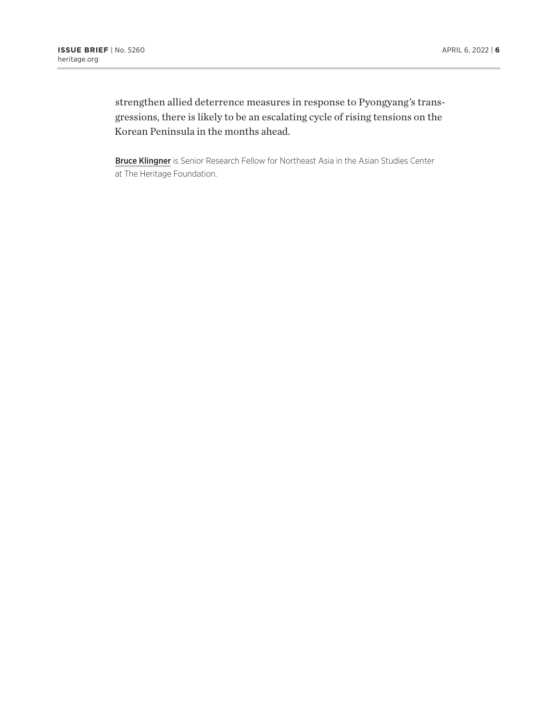strengthen allied deterrence measures in response to Pyongyang's transgressions, there is likely to be an escalating cycle of rising tensions on the Korean Peninsula in the months ahead.

Bruce Klingner is Senior Research Fellow for Northeast Asia in the Asian Studies Center at The Heritage Foundation.